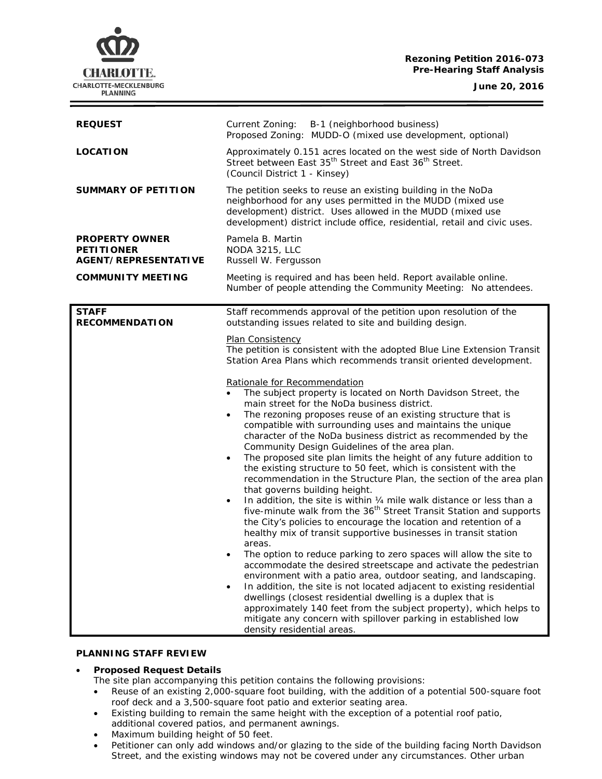# **Rezoning Petition 2016-073 Pre-Hearing Staff Analysis**

**CHARLOTTE.** CHARLOTTE-MECKLENBURG **PLANNING** 

**June 20, 2016**

| <b>REQUEST</b>                                                            | Current Zoning: B-1 (neighborhood business)<br>Proposed Zoning: MUDD-O (mixed use development, optional)                                                                                                                                                                                                                                                                                                                                                                                                                                                                                                                                                                                                                                                                                                                                                                                                                                                                                                                                                                                                                                                                                                                                                                                                                                                                                                                                                                                                                                                                                                                                                                                                                                                                                                              |
|---------------------------------------------------------------------------|-----------------------------------------------------------------------------------------------------------------------------------------------------------------------------------------------------------------------------------------------------------------------------------------------------------------------------------------------------------------------------------------------------------------------------------------------------------------------------------------------------------------------------------------------------------------------------------------------------------------------------------------------------------------------------------------------------------------------------------------------------------------------------------------------------------------------------------------------------------------------------------------------------------------------------------------------------------------------------------------------------------------------------------------------------------------------------------------------------------------------------------------------------------------------------------------------------------------------------------------------------------------------------------------------------------------------------------------------------------------------------------------------------------------------------------------------------------------------------------------------------------------------------------------------------------------------------------------------------------------------------------------------------------------------------------------------------------------------------------------------------------------------------------------------------------------------|
| <b>LOCATION</b>                                                           | Approximately 0.151 acres located on the west side of North Davidson<br>Street between East 35 <sup>th</sup> Street and East 36 <sup>th</sup> Street.<br>(Council District 1 - Kinsey)                                                                                                                                                                                                                                                                                                                                                                                                                                                                                                                                                                                                                                                                                                                                                                                                                                                                                                                                                                                                                                                                                                                                                                                                                                                                                                                                                                                                                                                                                                                                                                                                                                |
| <b>SUMMARY OF PETITION</b>                                                | The petition seeks to reuse an existing building in the NoDa<br>neighborhood for any uses permitted in the MUDD (mixed use<br>development) district. Uses allowed in the MUDD (mixed use<br>development) district include office, residential, retail and civic uses.                                                                                                                                                                                                                                                                                                                                                                                                                                                                                                                                                                                                                                                                                                                                                                                                                                                                                                                                                                                                                                                                                                                                                                                                                                                                                                                                                                                                                                                                                                                                                 |
| <b>PROPERTY OWNER</b><br><b>PETITIONER</b><br><b>AGENT/REPRESENTATIVE</b> | Pamela B. Martin<br><b>NODA 3215, LLC</b><br>Russell W. Fergusson                                                                                                                                                                                                                                                                                                                                                                                                                                                                                                                                                                                                                                                                                                                                                                                                                                                                                                                                                                                                                                                                                                                                                                                                                                                                                                                                                                                                                                                                                                                                                                                                                                                                                                                                                     |
| <b>COMMUNITY MEETING</b>                                                  | Meeting is required and has been held. Report available online.<br>Number of people attending the Community Meeting: No attendees.                                                                                                                                                                                                                                                                                                                                                                                                                                                                                                                                                                                                                                                                                                                                                                                                                                                                                                                                                                                                                                                                                                                                                                                                                                                                                                                                                                                                                                                                                                                                                                                                                                                                                    |
| <b>RECOMMENDATION</b>                                                     | Staff recommends approval of the petition upon resolution of the<br>outstanding issues related to site and building design.<br><b>Plan Consistency</b><br>The petition is consistent with the adopted Blue Line Extension Transit<br>Station Area Plans which recommends transit oriented development.<br>Rationale for Recommendation<br>The subject property is located on North Davidson Street, the<br>main street for the NoDa business district.<br>The rezoning proposes reuse of an existing structure that is<br>$\bullet$<br>compatible with surrounding uses and maintains the unique<br>character of the NoDa business district as recommended by the<br>Community Design Guidelines of the area plan.<br>The proposed site plan limits the height of any future addition to<br>the existing structure to 50 feet, which is consistent with the<br>recommendation in the Structure Plan, the section of the area plan<br>that governs building height.<br>In addition, the site is within 1/4 mile walk distance or less than a<br>$\bullet$<br>five-minute walk from the 36 <sup>th</sup> Street Transit Station and supports<br>the City's policies to encourage the location and retention of a<br>healthy mix of transit supportive businesses in transit station<br>areas.<br>The option to reduce parking to zero spaces will allow the site to<br>accommodate the desired streetscape and activate the pedestrian<br>environment with a patio area, outdoor seating, and landscaping.<br>In addition, the site is not located adjacent to existing residential<br>dwellings (closest residential dwelling is a duplex that is<br>approximately 140 feet from the subject property), which helps to<br>mitigate any concern with spillover parking in established low<br>density residential areas. |

#### **PLANNING STAFF REVIEW**

# • **Proposed Request Details**

The site plan accompanying this petition contains the following provisions:

- Reuse of an existing 2,000-square foot building, with the addition of a potential 500-square foot roof deck and a 3,500-square foot patio and exterior seating area.
- Existing building to remain the same height with the exception of a potential roof patio, additional covered patios, and permanent awnings.
- Maximum building height of 50 feet.
- Petitioner can only add windows and/or glazing to the side of the building facing North Davidson Street, and the existing windows may not be covered under any circumstances. Other urban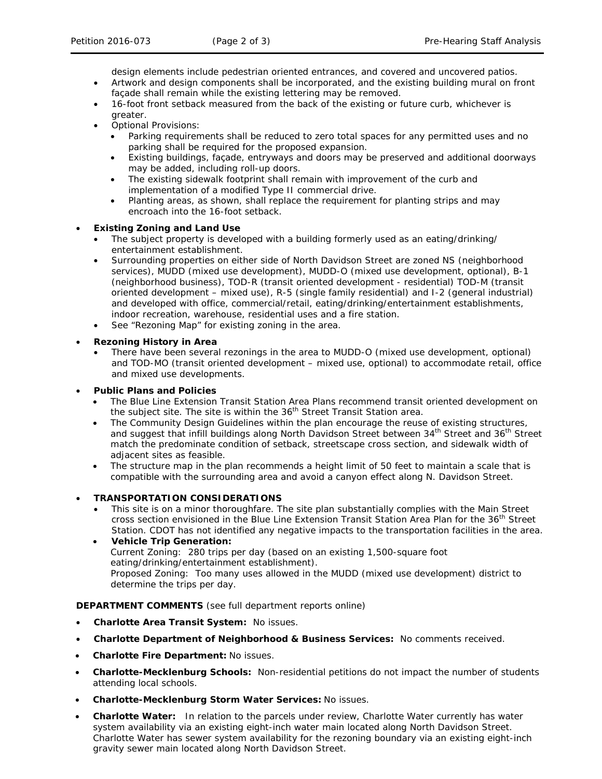design elements include pedestrian oriented entrances, and covered and uncovered patios.

- Artwork and design components shall be incorporated, and the existing building mural on front façade shall remain while the existing lettering may be removed.
- 16-foot front setback measured from the back of the existing or future curb, whichever is greater.
- Optional Provisions:
	- Parking requirements shall be reduced to zero total spaces for any permitted uses and no parking shall be required for the proposed expansion.
	- Existing buildings, façade, entryways and doors may be preserved and additional doorways may be added, including roll-up doors.
	- The existing sidewalk footprint shall remain with improvement of the curb and implementation of a modified Type II commercial drive.
	- Planting areas, as shown, shall replace the requirement for planting strips and may encroach into the 16-foot setback.

### • **Existing Zoning and Land Use**

- The subject property is developed with a building formerly used as an eating/drinking/ entertainment establishment.
- Surrounding properties on either side of North Davidson Street are zoned NS (neighborhood services), MUDD (mixed use development), MUDD-O (mixed use development, optional), B-1 (neighborhood business), TOD-R (transit oriented development - residential) TOD-M (transit oriented development – mixed use), R-5 (single family residential) and I-2 (general industrial) and developed with office, commercial/retail, eating/drinking/entertainment establishments, indoor recreation, warehouse, residential uses and a fire station.
- See "Rezoning Map" for existing zoning in the area.

### • **Rezoning History in Area**

• There have been several rezonings in the area to MUDD-O (mixed use development, optional) and TOD-MO (transit oriented development – mixed use, optional) to accommodate retail, office and mixed use developments.

#### • **Public Plans and Policies**

- The *Blue Line Extension Transit Station Area Plans* recommend transit oriented development on the subject site. The site is within the 36<sup>th</sup> Street Transit Station area.
- The Community Design Guidelines within the plan encourage the reuse of existing structures, and suggest that infill buildings along North Davidson Street between 34<sup>th</sup> Street and 36<sup>th</sup> Street match the predominate condition of setback, streetscape cross section, and sidewalk width of adjacent sites as feasible.
- The structure map in the plan recommends a height limit of 50 feet to maintain a scale that is compatible with the surrounding area and avoid a canyon effect along N. Davidson Street.

# • **TRANSPORTATION CONSIDERATIONS**

- This site is on a minor thoroughfare. The site plan substantially complies with the Main Street cross section envisioned in the *Blue Line Extension Transit Station Area Plan* for the 36th Street Station. CDOT has not identified any negative impacts to the transportation facilities in the area.
- **Vehicle Trip Generation:** Current Zoning: 280 trips per day (based on an existing 1,500-square foot eating/drinking/entertainment establishment). Proposed Zoning: Too many uses allowed in the MUDD (mixed use development) district to determine the trips per day.

# **DEPARTMENT COMMENTS** (see full department reports online)

- **Charlotte Area Transit System:** No issues.
- **Charlotte Department of Neighborhood & Business Services:** No comments received.
- **Charlotte Fire Department:** No issues.
- **Charlotte-Mecklenburg Schools:** Non-residential petitions do not impact the number of students attending local schools.
- **Charlotte-Mecklenburg Storm Water Services:** No issues.
- **Charlotte Water:** In relation to the parcels under review, Charlotte Water currently has water system availability via an existing eight-inch water main located along North Davidson Street. Charlotte Water has sewer system availability for the rezoning boundary via an existing eight-inch gravity sewer main located along North Davidson Street.